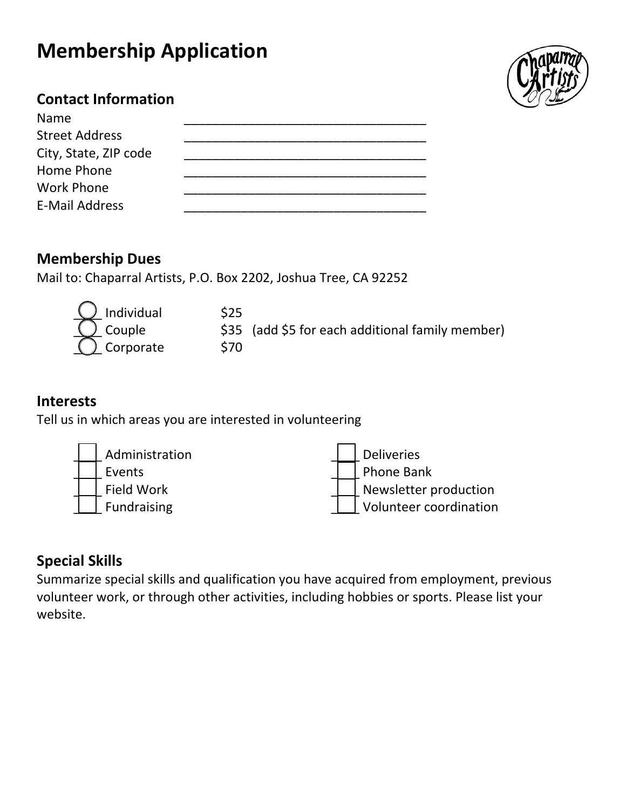# **Membership Application**



#### **Contact Information**

| Name                  |  |
|-----------------------|--|
| <b>Street Address</b> |  |
| City, State, ZIP code |  |
| Home Phone            |  |
| <b>Work Phone</b>     |  |
| <b>E-Mail Address</b> |  |
|                       |  |

#### **Membership Dues**

Mail to: Chaparral Artists, P.O. Box 2202, Joshua Tree, CA 92252

| $\overline{\mathbb{Q}}$ Individual | \$25 |                                                  |
|------------------------------------|------|--------------------------------------------------|
| Couple<br>Corporate                |      | \$35 (add \$5 for each additional family member) |
|                                    | S70  |                                                  |

#### **Interests**

Tell us in which areas you are interested in volunteering



#### **Special Skills**

Summarize special skills and qualification you have acquired from employment, previous volunteer work, or through other activities, including hobbies or sports. Please list your website.